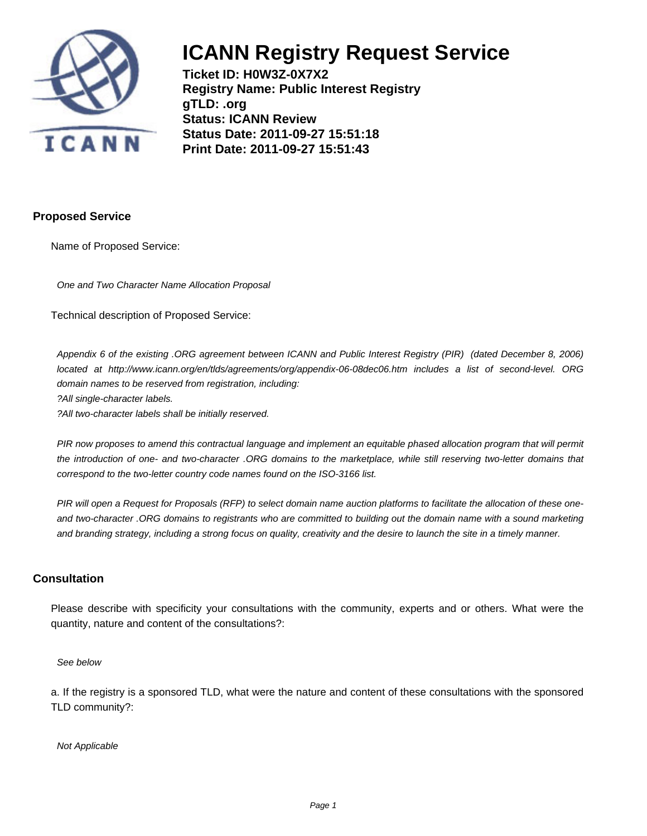

**Ticket ID: H0W3Z-0X7X2 Registry Name: Public Interest Registry gTLD: .org Status: ICANN Review Status Date: 2011-09-27 15:51:18 Print Date: 2011-09-27 15:51:43**

### **Proposed Service**

Name of Proposed Service:

One and Two Character Name Allocation Proposal

Technical description of Proposed Service:

Appendix 6 of the existing .ORG agreement between ICANN and Public Interest Registry (PIR) (dated December 8, 2006) located at http://www.icann.org/en/tlds/agreements/org/appendix-06-08dec06.htm includes a list of second-level. ORG domain names to be reserved from registration, including:

? All single-character labels.

? All two-character labels shall be initially reserved.

PIR now proposes to amend this contractual language and implement an equitable phased allocation program that will permit the introduction of one- and two-character .ORG domains to the marketplace, while still reserving two-letter domains that correspond to the two-letter country code names found on the ISO-3166 list.

PIR will open a Request for Proposals (RFP) to select domain name auction platforms to facilitate the allocation of these oneand two-character .ORG domains to registrants who are committed to building out the domain name with a sound marketing and branding strategy, including a strong focus on quality, creativity and the desire to launch the site in a timely manner.

#### **Consultation**

Please describe with specificity your consultations with the community, experts and or others. What were the quantity, nature and content of the consultations?:

See below

a. If the registry is a sponsored TLD, what were the nature and content of these consultations with the sponsored TLD community?:

Not Applicable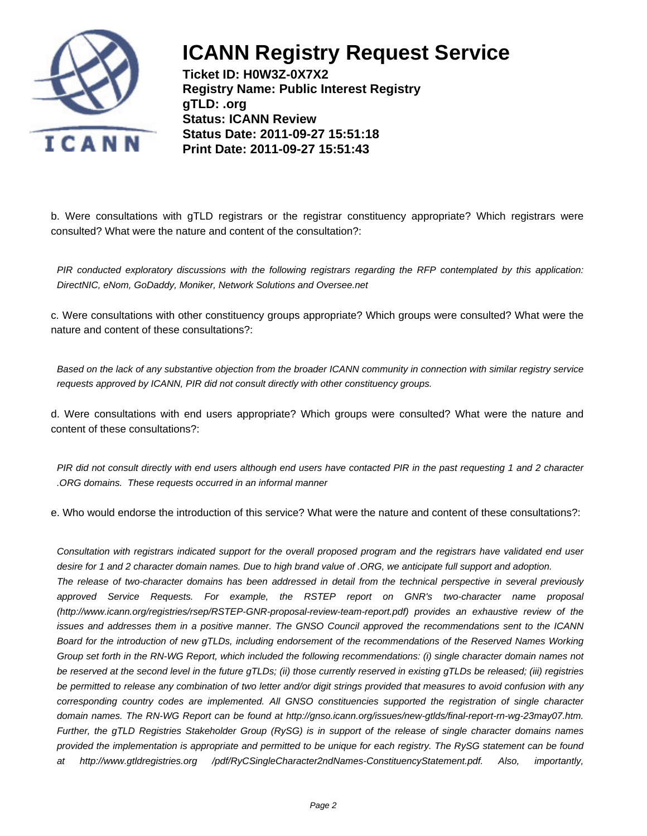

**Ticket ID: H0W3Z-0X7X2 Registry Name: Public Interest Registry gTLD: .org Status: ICANN Review Status Date: 2011-09-27 15:51:18 Print Date: 2011-09-27 15:51:43**

b. Were consultations with gTLD registrars or the registrar constituency appropriate? Which registrars were consulted? What were the nature and content of the consultation?:

PIR conducted exploratory discussions with the following registrars regarding the RFP contemplated by this application: DirectNIC, eNom, GoDaddy, Moniker, Network Solutions and Oversee.net

c. Were consultations with other constituency groups appropriate? Which groups were consulted? What were the nature and content of these consultations?:

Based on the lack of any substantive objection from the broader ICANN community in connection with similar registry service requests approved by ICANN, PIR did not consult directly with other constituency groups.

d. Were consultations with end users appropriate? Which groups were consulted? What were the nature and content of these consultations?:

PIR did not consult directly with end users although end users have contacted PIR in the past requesting 1 and 2 character .ORG domains. These requests occurred in an informal manner

e. Who would endorse the introduction of this service? What were the nature and content of these consultations?:

Consultation with registrars indicated support for the overall proposed program and the registrars have validated end user desire for 1 and 2 character domain names. Due to high brand value of .ORG, we anticipate full support and adoption.

The release of two-character domains has been addressed in detail from the technical perspective in several previously approved Service Requests. For example, the RSTEP report on GNR's two-character name proposal (http://www.icann.org/registries/rsep/RSTEP-GNR-proposal-review-team-report.pdf) provides an exhaustive review of the issues and addresses them in a positive manner. The GNSO Council approved the recommendations sent to the ICANN Board for the introduction of new gTLDs, including endorsement of the recommendations of the Reserved Names Working Group set forth in the RN-WG Report, which included the following recommendations: (i) single character domain names not be reserved at the second level in the future gTLDs; (ii) those currently reserved in existing gTLDs be released; (iii) registries be permitted to release any combination of two letter and/or digit strings provided that measures to avoid confusion with any corresponding country codes are implemented. All GNSO constituencies supported the registration of single character domain names. The RN-WG Report can be found at http://gnso.icann.org/issues/new-gtlds/final-report-rn-wg-23may07.htm. Further, the gTLD Registries Stakeholder Group (RySG) is in support of the release of single character domains names provided the implementation is appropriate and permitted to be unique for each registry. The RySG statement can be found at http://www.gtldregistries.org /pdf/RyCSingleCharacter2ndNames-ConstituencyStatement.pdf. Also, importantly,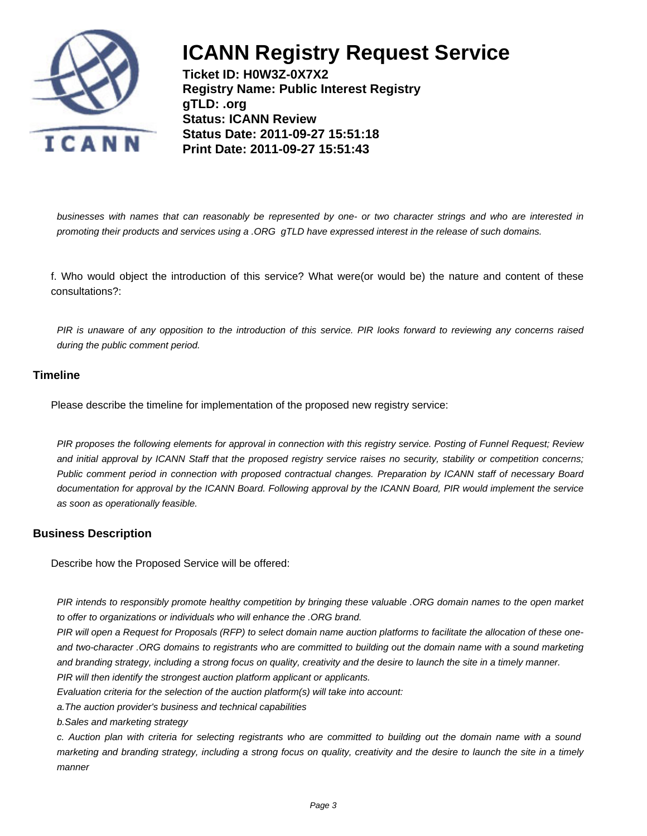

**Ticket ID: H0W3Z-0X7X2 Registry Name: Public Interest Registry gTLD: .org Status: ICANN Review Status Date: 2011-09-27 15:51:18 Print Date: 2011-09-27 15:51:43**

businesses with names that can reasonably be represented by one- or two character strings and who are interested in promoting their products and services using a .ORG gTLD have expressed interest in the release of such domains.

f. Who would object the introduction of this service? What were(or would be) the nature and content of these consultations?:

PIR is unaware of any opposition to the introduction of this service. PIR looks forward to reviewing any concerns raised during the public comment period.

### **Timeline**

Please describe the timeline for implementation of the proposed new registry service:

PIR proposes the following elements for approval in connection with this registry service. Posting of Funnel Request; Review and initial approval by ICANN Staff that the proposed registry service raises no security, stability or competition concerns; Public comment period in connection with proposed contractual changes. Preparation by ICANN staff of necessary Board documentation for approval by the ICANN Board. Following approval by the ICANN Board, PIR would implement the service as soon as operationally feasible.

### **Business Description**

Describe how the Proposed Service will be offered:

PIR intends to responsibly promote healthy competition by bringing these valuable .ORG domain names to the open market to offer to organizations or individuals who will enhance the .ORG brand.

PIR will open a Request for Proposals (RFP) to select domain name auction platforms to facilitate the allocation of these oneand two-character .ORG domains to registrants who are committed to building out the domain name with a sound marketing and branding strategy, including a strong focus on quality, creativity and the desire to launch the site in a timely manner. PIR will then identify the strongest auction platform applicant or applicants.

Evaluation criteria for the selection of the auction platform(s) will take into account:

a. The auction provider's business and technical capabilities

b. Sales and marketing strategy

c. Auction plan with criteria for selecting registrants who are committed to building out the domain name with a sound marketing and branding strategy, including a strong focus on quality, creativity and the desire to launch the site in a timely manner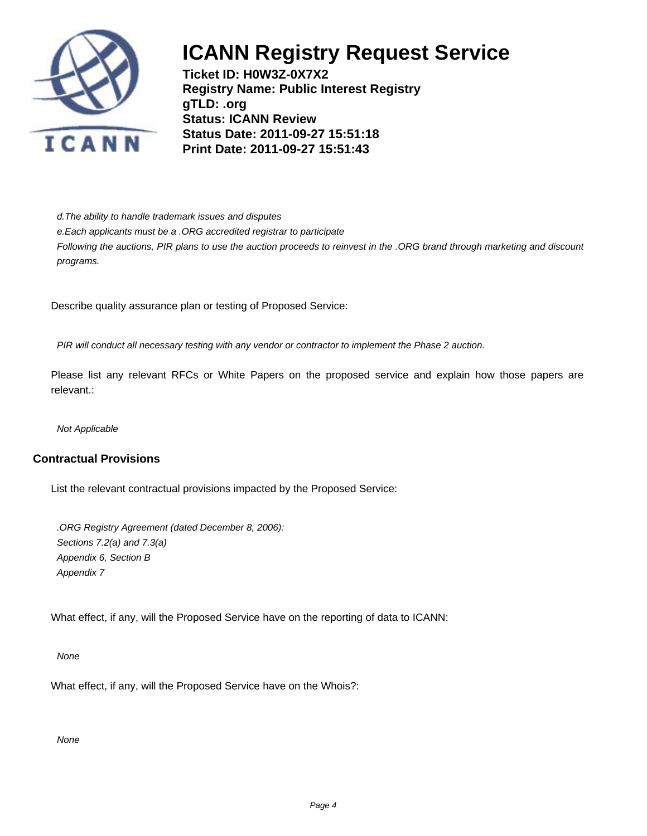

**Ticket ID: H0W3Z-0X7X2 Registry Name: Public Interest Registry gTLD: .org Status: ICANN Review Status Date: 2011-09-27 15:51:18 Print Date: 2011-09-27 15:51:43**

d. The ability to handle trademark issues and disputes

e. Each applicants must be a .ORG accredited registrar to participate

Following the auctions, PIR plans to use the auction proceeds to reinvest in the .ORG brand through marketing and discount programs.

Describe quality assurance plan or testing of Proposed Service:

PIR will conduct all necessary testing with any vendor or contractor to implement the Phase 2 auction.

Please list any relevant RFCs or White Papers on the proposed service and explain how those papers are relevant.:

Not Applicable

### **Contractual Provisions**

List the relevant contractual provisions impacted by the Proposed Service:

.ORG Registry Agreement (dated December 8, 2006): Sections 7.2(a) and 7.3(a) Appendix 6, Section B Appendix 7

What effect, if any, will the Proposed Service have on the reporting of data to ICANN:

None

What effect, if any, will the Proposed Service have on the Whois?:

None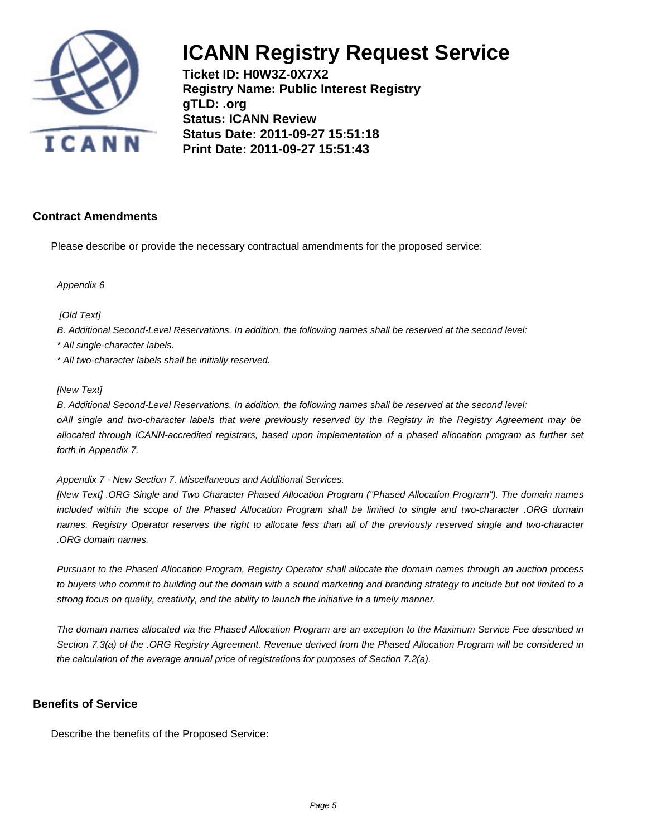

**Ticket ID: H0W3Z-0X7X2 Registry Name: Public Interest Registry gTLD: .org Status: ICANN Review Status Date: 2011-09-27 15:51:18 Print Date: 2011-09-27 15:51:43**

### **Contract Amendments**

Please describe or provide the necessary contractual amendments for the proposed service:

Appendix 6

[Old Text]

B. Additional Second-Level Reservations. In addition, the following names shall be reserved at the second level:

\* All single-character labels.

\* All two-character labels shall be initially reserved.

#### [New Text]

B. Additional Second-Level Reservations. In addition, the following names shall be reserved at the second level:

o All single and two-character labels that were previously reserved by the Registry in the Registry Agreement may be allocated through ICANN-accredited registrars, based upon implementation of a phased allocation program as further set forth in Appendix 7.

Appendix 7 - New Section 7. Miscellaneous and Additional Services.

[New Text] .ORG Single and Two Character Phased Allocation Program ("Phased Allocation Program"). The domain names included within the scope of the Phased Allocation Program shall be limited to single and two-character .ORG domain names. Registry Operator reserves the right to allocate less than all of the previously reserved single and two-character .ORG domain names.

Pursuant to the Phased Allocation Program, Registry Operator shall allocate the domain names through an auction process to buyers who commit to building out the domain with a sound marketing and branding strategy to include but not limited to a strong focus on quality, creativity, and the ability to launch the initiative in a timely manner.

The domain names allocated via the Phased Allocation Program are an exception to the Maximum Service Fee described in Section 7.3(a) of the .ORG Registry Agreement. Revenue derived from the Phased Allocation Program will be considered in the calculation of the average annual price of registrations for purposes of Section 7.2(a).

### **Benefits of Service**

Describe the benefits of the Proposed Service: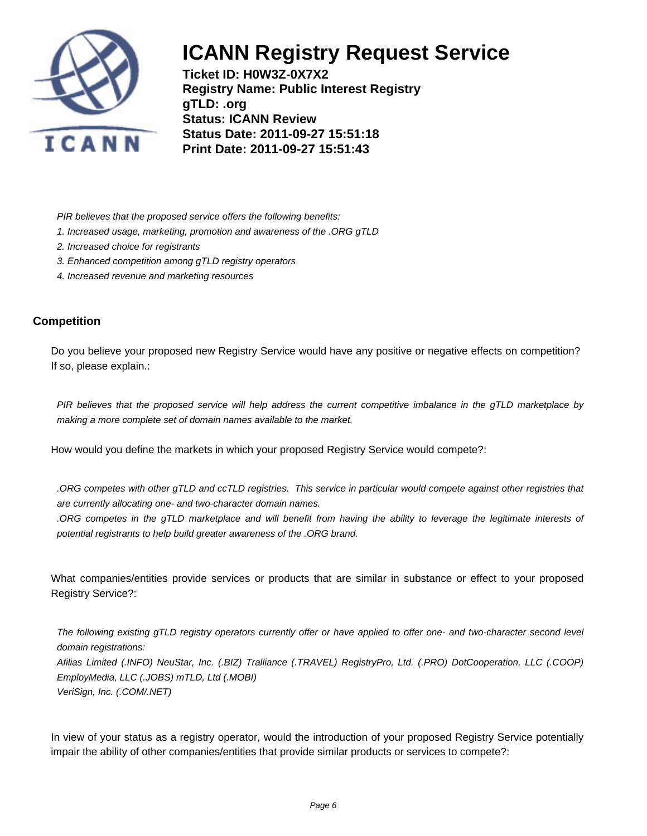

**Ticket ID: H0W3Z-0X7X2 Registry Name: Public Interest Registry gTLD: .org Status: ICANN Review Status Date: 2011-09-27 15:51:18 Print Date: 2011-09-27 15:51:43**

PIR believes that the proposed service offers the following benefits:

- 1. Increased usage, marketing, promotion and awareness of the .ORG gTLD
- 2. Increased choice for registrants
- 3. Enhanced competition among gTLD registry operators
- 4. Increased revenue and marketing resources

### **Competition**

Do you believe your proposed new Registry Service would have any positive or negative effects on competition? If so, please explain.:

PIR believes that the proposed service will help address the current competitive imbalance in the gTLD marketplace by making a more complete set of domain names available to the market.

How would you define the markets in which your proposed Registry Service would compete?:

.ORG competes with other gTLD and ccTLD registries. This service in particular would compete against other registries that are currently allocating one- and two-character domain names.

.ORG competes in the gTLD marketplace and will benefit from having the ability to leverage the legitimate interests of potential registrants to help build greater awareness of the .ORG brand.

What companies/entities provide services or products that are similar in substance or effect to your proposed Registry Service?:

The following existing gTLD registry operators currently offer or have applied to offer one- and two-character second level domain registrations: Afilias Limited (.INFO) NeuStar, Inc. (.BIZ) Tralliance (.TRAVEL) RegistryPro, Ltd. (.PRO) DotCooperation, LLC (.COOP) EmployMedia, LLC (.JOBS) mTLD, Ltd (.MOBI) VeriSign, Inc. (.COM/.NET)

In view of your status as a registry operator, would the introduction of your proposed Registry Service potentially impair the ability of other companies/entities that provide similar products or services to compete?: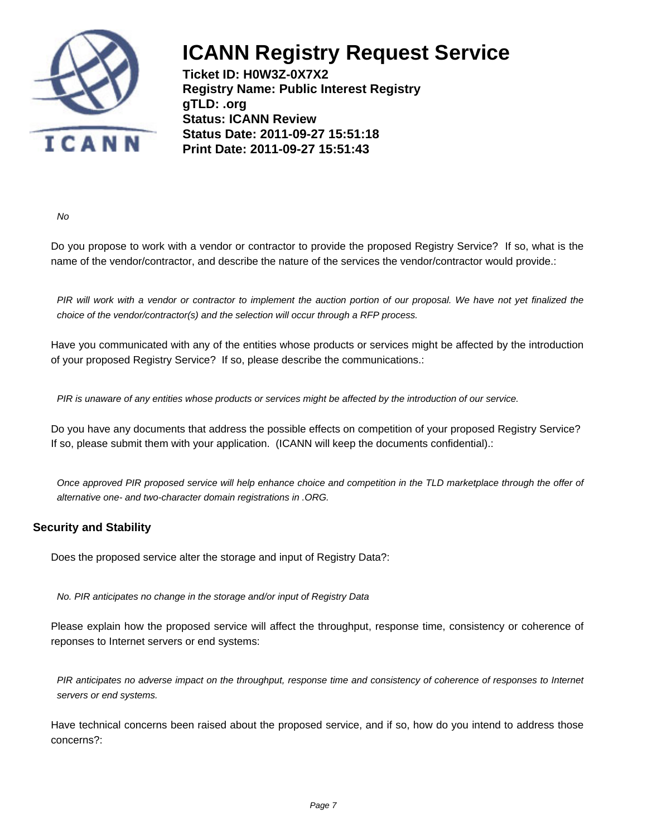

**Ticket ID: H0W3Z-0X7X2 Registry Name: Public Interest Registry gTLD: .org Status: ICANN Review Status Date: 2011-09-27 15:51:18 Print Date: 2011-09-27 15:51:43**

No

Do you propose to work with a vendor or contractor to provide the proposed Registry Service? If so, what is the name of the vendor/contractor, and describe the nature of the services the vendor/contractor would provide.:

PIR will work with a vendor or contractor to implement the auction portion of our proposal. We have not yet finalized the choice of the vendor/contractor(s) and the selection will occur through a RFP process.

Have you communicated with any of the entities whose products or services might be affected by the introduction of your proposed Registry Service? If so, please describe the communications.:

PIR is unaware of any entities whose products or services might be affected by the introduction of our service.

Do you have any documents that address the possible effects on competition of your proposed Registry Service? If so, please submit them with your application. (ICANN will keep the documents confidential).:

Once approved PIR proposed service will help enhance choice and competition in the TLD marketplace through the offer of alternative one- and two-character domain registrations in .ORG.

### **Security and Stability**

Does the proposed service alter the storage and input of Registry Data?:

No. PIR anticipates no change in the storage and/or input of Registry Data

Please explain how the proposed service will affect the throughput, response time, consistency or coherence of reponses to Internet servers or end systems:

PIR anticipates no adverse impact on the throughput, response time and consistency of coherence of responses to Internet servers or end systems.

Have technical concerns been raised about the proposed service, and if so, how do you intend to address those concerns?: